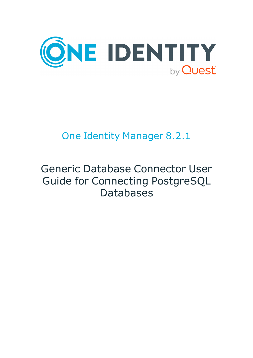

# One Identity Manager 8.2.1

# Generic Database Connector User Guide for Connecting PostgreSQL Databases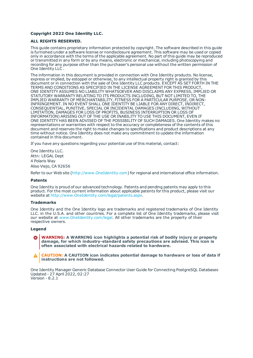#### **Copyright 2022 One Identity LLC.**

#### **ALL RIGHTS RESERVED.**

This guide contains proprietary information protected by copyright. The software described in this guide is furnished under a software license or nondisclosure agreement. This software may be used or copied only in accordance with the terms of the applicable agreement. No part of this guide may be reproduced or transmitted in any form or by any means, electronic or mechanical, including photocopying and recording for any purpose other than the purchaser's personal use without the written permission of One Identity LLC .

The information in this document is provided in connection with One Identity products. No license, express or implied, by estoppel or otherwise, to any intellectual property right is granted by this document or in connection with the sale of One Identity LLC products. EXCEPT AS SET FORTH IN THE TERMS AND CONDITIONS AS SPECIFIED IN THE LICENSE AGREEMENT FOR THIS PRODUCT, ONE IDENTITY ASSUMES NO LIABILITY WHATSOEVER AND DISCLAIMS ANY EXPRESS, IMPLIED OR STATUTORY WARRANTY RELATING TO ITS PRODUCTS INCLUDING, BUT NOT LIMITED TO, THE IMPLIED WARRANTY OF MERCHANTABILITY, FITNESS FOR A PARTICULAR PURPOSE, OR NON-INFRINGEMENT. IN NO EVENT SHALL ONE IDENTITY BE LIABLE FOR ANY DIRECT, INDIRECT, CONSEQUENTIAL, PUNITIVE, SPECIAL OR INCIDENTAL DAMAGES (INCLUDING, WITHOUT LIMITATION, DAMAGES FOR LOSS OF PROFITS, BUSINESS INTERRUPTION OR LOSS OF INFORMATION) ARISING OUT OF THE USE OR INABILITY TO USE THIS DOCUMENT, EVEN IF ONE IDENTITY HAS BEEN ADVISED OF THE POSSIBILITY OF SUCH DAMAGES. One Identity makes no representations or warranties with respect to the accuracy or completeness of the contents of this document and reserves the right to make changes to specifications and product descriptions at any time without notice. One Identity does not make any commitment to update the information contained in this document.

If you have any questions regarding your potential use of this material, contact:

One Identity LLC. Attn: LEGAL Dept 4 Polaris Way Aliso Viejo, CA 92656

Refer to our Web site ([http://www.OneIdentity.com](http://www.oneidentity.com/)) for regional and international office information.

#### **Patents**

One Identity is proud of our advanced technology. Patents and pending patents may apply to this product. For the most current information about applicable patents for this product, please visit our website at [http://www.OneIdentity.com/legal/patents.aspx](http://www.oneidentity.com/legal/patents.aspx).

#### **Trademarks**

One Identity and the One Identity logo are trademarks and registered trademarks of One Identity LLC. in the U.S.A. and other countries. For a complete list of One Identity trademarks, please visit our website at [www.OneIdentity.com/legal](http://www.oneidentity.com/legal). All other trademarks are the property of their respective owners.

#### **Legend**

- **WARNING: A WARNING icon highlights a potential risk of bodily injury or property damage, for which industry-standard safety precautions are advised. This icon is often associated with electrical hazards related to hardware.**
- **CAUTION: A CAUTION icon indicates potential damage to hardware or loss of data if** A **instructions are not followed.**

One Identity Manager Generic Database Connector User Guide for Connecting PostgreSQL Databases Updated - 27 April 2022, 02:27 Version - 8.2.1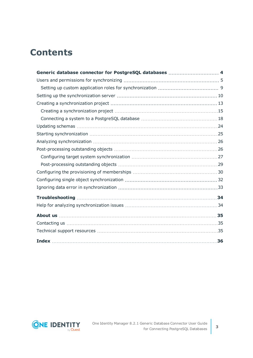## **Contents**

| Generic database connector for PostgreSQL databases  4 |  |
|--------------------------------------------------------|--|
|                                                        |  |
|                                                        |  |
|                                                        |  |
|                                                        |  |
|                                                        |  |
|                                                        |  |
|                                                        |  |
|                                                        |  |
|                                                        |  |
|                                                        |  |
|                                                        |  |
|                                                        |  |
|                                                        |  |
|                                                        |  |
|                                                        |  |
|                                                        |  |
|                                                        |  |
|                                                        |  |
|                                                        |  |
|                                                        |  |
|                                                        |  |

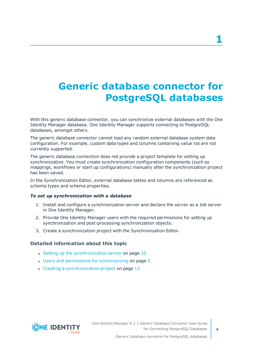# <span id="page-3-0"></span>**Generic database connector for PostgreSQL databases**

With this generic database connector, you can synchronize external databases with the One Identity Manager database. One Identity Manager supports connecting to PostgreSQL databases, amongst others.

The generic database connector cannot load any random external database system data configuration. For example, custom data types and columns containing value list are not currently supported.

The generic database connection does not provide a project template for setting up synchronization. You must create synchronization configuration components (such as mappings, workflows or start up configurations) manually after the synchronization project has been saved.

In the Synchronization Editor, external database tables and columns are referenced as schema types and schema properties.

### *To set up synchronization with a database*

- 1. Install and configure a synchronization server and declare the server as a Job server in One Identity Manager.
- 2. Provide One Identity Manager users with the required permissions for setting up synchronization and post-processing synchronization objects.
- 3. Create a synchronization project with the Synchronization Editor.

### **Detailed information about this topic**

- Setting up the [synchronization](#page-9-0) server on page  $10$
- $\cdot$  Users and permissions for [synchronizing](#page-4-0) on page  $5$
- $\cdot$  Creating a [synchronization](#page-12-0) project on page 13

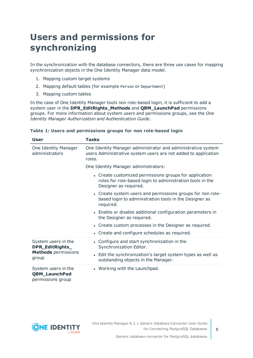## <span id="page-4-0"></span>**Users and permissions for synchronizing**

In the synchronization with the database connectors, there are three use cases for mapping synchronization objects in the One Identity Manager data model.

- 1. Mapping custom target systems
- 2. Mapping default tables (for example Person or Department)
- 3. Mapping custom tables

In the case of One Identity Manager tools non role-based login, it is sufficient to add a system user in the **DPR\_EditRights\_Methods** and **QBM\_LaunchPad** permissions groups. For more information about system users and permissions groups, see the *One Identity Manager Authorization and Authentication Guide*.

| User                                                             | Tasks                                                                                                                                        |  |  |  |
|------------------------------------------------------------------|----------------------------------------------------------------------------------------------------------------------------------------------|--|--|--|
| One Identity Manager<br>administrators                           | One Identity Manager administrator and administrative system<br>users Administrative system users are not added to application<br>roles.     |  |  |  |
|                                                                  | One Identity Manager administrators:                                                                                                         |  |  |  |
|                                                                  | • Create customized permissions groups for application<br>roles for role-based login to administration tools in the<br>Designer as required. |  |  |  |
|                                                                  | • Create system users and permissions groups for non role-<br>based login to administration tools in the Designer as<br>required.            |  |  |  |
|                                                                  | • Enable or disable additional configuration parameters in<br>the Designer as required.                                                      |  |  |  |
|                                                                  | • Create custom processes in the Designer as required.                                                                                       |  |  |  |
|                                                                  | • Create and configure schedules as required.                                                                                                |  |  |  |
| System users in the<br>DPR_EditRights_                           | • Configure and start synchronization in the<br>Synchronization Editor.                                                                      |  |  |  |
| <b>Methods</b> permissions<br>group                              | • Edit the synchronization's target system types as well as<br>outstanding objects in the Manager.                                           |  |  |  |
| System users in the<br><b>QBM_LaunchPad</b><br>permissions group | • Working with the Launchpad.                                                                                                                |  |  |  |

### **Table 1: Users and permissions groups for non role-based login**

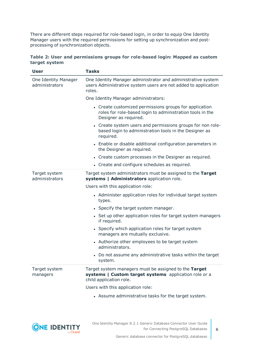There are different steps required for role-based login, in order to equip One Identity Manager users with the required permissions for setting up synchronization and postprocessing of synchronization objects.

|               | Table 2: User and permissions groups for role-based login: Mapped as custom |  |  |  |
|---------------|-----------------------------------------------------------------------------|--|--|--|
| target system |                                                                             |  |  |  |

| <b>User</b>                            | <b>Tasks</b>                                                                                                                                 |  |  |
|----------------------------------------|----------------------------------------------------------------------------------------------------------------------------------------------|--|--|
| One Identity Manager<br>administrators | One Identity Manager administrator and administrative system<br>users Administrative system users are not added to application<br>roles.     |  |  |
|                                        | One Identity Manager administrators:                                                                                                         |  |  |
|                                        | • Create customized permissions groups for application<br>roles for role-based login to administration tools in the<br>Designer as required. |  |  |
|                                        | • Create system users and permissions groups for non role-<br>based login to administration tools in the Designer as<br>required.            |  |  |
|                                        | • Enable or disable additional configuration parameters in<br>the Designer as required.                                                      |  |  |
|                                        | • Create custom processes in the Designer as required.                                                                                       |  |  |
|                                        | • Create and configure schedules as required.                                                                                                |  |  |
| Target system<br>administrators        | Target system administrators must be assigned to the Target<br>systems   Administrators application role.                                    |  |  |
|                                        | Users with this application role:                                                                                                            |  |  |
|                                        | • Administer application roles for individual target system<br>types.                                                                        |  |  |
|                                        | • Specify the target system manager.                                                                                                         |  |  |
|                                        | • Set up other application roles for target system managers<br>if required.                                                                  |  |  |
|                                        | • Specify which application roles for target system<br>managers are mutually exclusive.                                                      |  |  |
|                                        | • Authorize other employees to be target system<br>administrators.                                                                           |  |  |
|                                        | • Do not assume any administrative tasks within the target<br>system.                                                                        |  |  |
| Target system<br>managers              | Target system managers must be assigned to the Target<br>systems   Custom target systems application role or a<br>child application role.    |  |  |
|                                        | Users with this application role:                                                                                                            |  |  |
|                                        | • Assume administrative tasks for the target system.                                                                                         |  |  |



**6**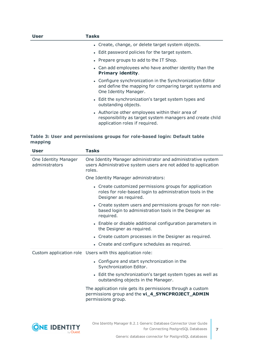| User | Tasks                                                                                                                                           |
|------|-------------------------------------------------------------------------------------------------------------------------------------------------|
|      | • Create, change, or delete target system objects.                                                                                              |
|      | • Edit password policies for the target system.                                                                                                 |
|      | • Prepare groups to add to the IT Shop.                                                                                                         |
|      | • Can add employees who have another identity than the<br><b>Primary identity.</b>                                                              |
|      | • Configure synchronization in the Synchronization Editor<br>and define the mapping for comparing target systems and<br>One Identity Manager.   |
|      | • Edit the synchronization's target system types and<br>outstanding objects.                                                                    |
|      | • Authorize other employees within their area of<br>responsibility as target system managers and create child<br>application roles if required. |

### **Table 3: User and permissions groups for role-based login: Default table mapping**

| <b>User</b>                            | <b>Tasks</b>                                                                                                                                 |
|----------------------------------------|----------------------------------------------------------------------------------------------------------------------------------------------|
| One Identity Manager<br>administrators | One Identity Manager administrator and administrative system<br>users Administrative system users are not added to application<br>roles.     |
|                                        | One Identity Manager administrators:                                                                                                         |
|                                        | • Create customized permissions groups for application<br>roles for role-based login to administration tools in the<br>Designer as required. |
|                                        | • Create system users and permissions groups for non role-<br>based login to administration tools in the Designer as<br>required.            |
|                                        | • Enable or disable additional configuration parameters in<br>the Designer as required.                                                      |
|                                        | • Create custom processes in the Designer as required.                                                                                       |
|                                        | • Create and configure schedules as required.                                                                                                |
|                                        | Custom application role Users with this application role:                                                                                    |
|                                        | • Configure and start synchronization in the<br>Synchronization Editor.                                                                      |
|                                        | • Edit the synchronization's target system types as well as<br>outstanding objects in the Manager.                                           |
|                                        | The application role gets its permissions through a custom<br>permissions group and the vi_4_SYNCPROJECT_ADMIN<br>permissions group.         |
|                                        |                                                                                                                                              |
|                                        |                                                                                                                                              |

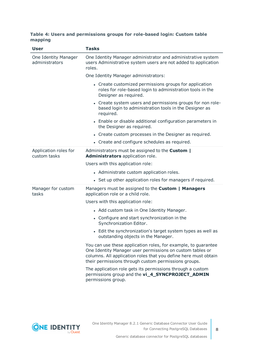### **Table 4: Users and permissions groups for role-based login: Custom table mapping**

| <b>User</b>                            | <b>Tasks</b>                                                                                                                                                                                                                                           |  |  |  |
|----------------------------------------|--------------------------------------------------------------------------------------------------------------------------------------------------------------------------------------------------------------------------------------------------------|--|--|--|
| One Identity Manager<br>administrators | One Identity Manager administrator and administrative system<br>users Administrative system users are not added to application<br>roles.                                                                                                               |  |  |  |
|                                        | One Identity Manager administrators:                                                                                                                                                                                                                   |  |  |  |
|                                        | • Create customized permissions groups for application<br>roles for role-based login to administration tools in the<br>Designer as required.                                                                                                           |  |  |  |
|                                        | • Create system users and permissions groups for non role-<br>based login to administration tools in the Designer as<br>required.                                                                                                                      |  |  |  |
|                                        | • Enable or disable additional configuration parameters in<br>the Designer as required.                                                                                                                                                                |  |  |  |
|                                        | • Create custom processes in the Designer as required.                                                                                                                                                                                                 |  |  |  |
|                                        | • Create and configure schedules as required.                                                                                                                                                                                                          |  |  |  |
| Application roles for<br>custom tasks  | Administrators must be assigned to the <b>Custom</b>  <br>Administrators application role.                                                                                                                                                             |  |  |  |
|                                        | Users with this application role:                                                                                                                                                                                                                      |  |  |  |
|                                        | • Administrate custom application roles.                                                                                                                                                                                                               |  |  |  |
|                                        | • Set up other application roles for managers if required.                                                                                                                                                                                             |  |  |  |
| Manager for custom<br>tasks            | Managers must be assigned to the Custom   Managers<br>application role or a child role.                                                                                                                                                                |  |  |  |
|                                        | Users with this application role:                                                                                                                                                                                                                      |  |  |  |
|                                        | • Add custom task in One Identity Manager.                                                                                                                                                                                                             |  |  |  |
|                                        | • Configure and start synchronization in the<br>Synchronization Editor.                                                                                                                                                                                |  |  |  |
|                                        | • Edit the synchronization's target system types as well as<br>outstanding objects in the Manager.                                                                                                                                                     |  |  |  |
|                                        | You can use these application roles, for example, to guarantee<br>One Identity Manager user permissions on custom tables or<br>columns. All application roles that you define here must obtain<br>their permissions through custom permissions groups. |  |  |  |
|                                        | The application role gets its permissions through a custom<br>permissions group and the vi_4_SYNCPROJECT_ADMIN<br>permissions group.                                                                                                                   |  |  |  |

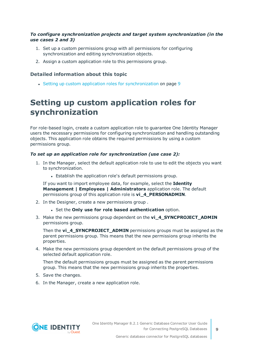### *To configure synchronization projects and target system synchronization (in the use cases 2 and 3)*

- 1. Set up a custom permissions group with all permissions for configuring synchronization and editing synchronization objects.
- 2. Assign a custom application role to this permissions group.

### **Detailed information about this topic**

• Setting up custom application roles for [synchronization](#page-8-0) on page 9

### <span id="page-8-0"></span>**Setting up custom application roles for synchronization**

For role-based login, create a custom application role to guarantee One Identity Manager users the necessary permissions for configuring synchronization and handling outstanding objects. This application role obtains the required permissions by using a custom permissions group.

### *To set up an application role for synchronization (use case 2):*

- 1. In the Manager, select the default application role to use to edit the objects you want to synchronization.
	- Establish the application role's default permissions group.

If you want to import employee data, for example, select the **Identity Management | Employees | Administrators** application role. The default permissions group of this application role is **vi\_4\_PERSONADMIN**.

- 2. In the Designer, create a new permissions group .
	- <sup>l</sup> Set the **Only use for role based authentication** option.
- 3. Make the new permissions group dependent on the **vi\_4\_SYNCPROJECT\_ADMIN** permissions group.

Then the **vi\_4\_SYNCPROJECT\_ADMIN** permissions groups must be assigned as the parent permissions group. This means that the new permissions group inherits the properties.

4. Make the new permissions group dependent on the default permissions group of the selected default application role.

Then the default permissions groups must be assigned as the parent permissions group. This means that the new permissions group inherits the properties.

- 5. Save the changes.
- 6. In the Manager, create a new application role.

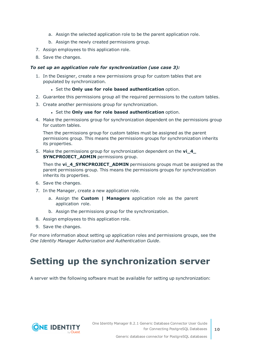- a. Assign the selected application role to be the parent application role.
- b. Assign the newly created permissions group.
- 7. Assign employees to this application role.
- 8. Save the changes.

### *To set up an application role for synchronization (use case 3):*

- 1. In the Designer, create a new permissions group for custom tables that are populated by synchronization.
	- <sup>l</sup> Set the **Only use for role based authentication** option.
- 2. Guarantee this permissions group all the required permissions to the custom tables.
- 3. Create another permissions group for synchronization.
	- <sup>l</sup> Set the **Only use for role based authentication** option.
- 4. Make the permissions group for synchronization dependent on the permissions group for custom tables.

Then the permissions group for custom tables must be assigned as the parent permissions group. This means the permissions groups for synchronization inherits its properties.

5. Make the permissions group for synchronization dependent on the **vi\_4\_ SYNCPROJECT ADMIN** permissions group.

Then the **vi\_4\_SYNCPROJECT\_ADMIN** permissions groups must be assigned as the parent permissions group. This means the permissions groups for synchronization inherits its properties.

- 6. Save the changes.
- 7. In the Manager, create a new application role.
	- a. Assign the **Custom | Managers** application role as the parent application role.
	- b. Assign the permissions group for the synchronization.
- 8. Assign employees to this application role.
- 9. Save the changes.

For more information about setting up application roles and permissions groups, see the *One Identity Manager Authorization and Authentication Guide*.

## <span id="page-9-0"></span>**Setting up the synchronization server**

A server with the following software must be available for setting up synchronization:

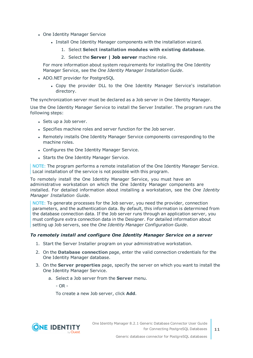- One Identity Manager Service
	- Install One Identity Manager components with the installation wizard.
		- 1. Select **Select installation modules with existing database**.
		- 2. Select the **Server | Job server** machine role.

For more information about system requirements for installing the One Identity Manager Service, see the *One Identity Manager Installation Guide*.

- ADO.NET provider for PostgreSQL
	- Copy the provider DLL to the One Identity Manager Service's installation directory.

The synchronization server must be declared as a Job server in One Identity Manager.

Use the One Identity Manager Service to install the Server Installer. The program runs the following steps:

- Sets up a Job server.
- Specifies machine roles and server function for the Job server.
- Remotely installs One Identity Manager Service components corresponding to the machine roles.
- Configures the One Identity Manager Service.
- Starts the One Identity Manager Service.

NOTE: The program performs a remote installation of the One Identity Manager Service. Local installation of the service is not possible with this program.

To remotely install the One Identity Manager Service, you must have an administrative workstation on which the One Identity Manager components are installed. For detailed information about installing a workstation, see the *One Identity Manager Installation Guide*.

NOTE: To generate processes for the Job server, you need the provider, connection parameters, and the authentication data. By default, this information is determined from the database connection data. If the Job server runs through an application server, you must configure extra connection data in the Designer. For detailed information about setting up Job servers, see the *One Identity Manager Configuration Guide*.

### *To remotely install and configure One Identity Manager Service on a server*

- 1. Start the Server Installer program on your administrative workstation.
- 2. On the **Database connection** page, enter the valid connection credentials for the One Identity Manager database.
- 3. On the **Server properties** page, specify the server on which you want to install the One Identity Manager Service.
	- a. Select a Job server from the **Server** menu.
		- OR -

To create a new Job server, click **Add**.

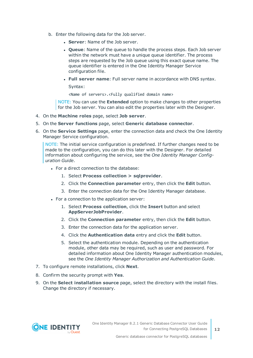- b. Enter the following data for the Job server.
	- **Server:** Name of the Job server.
	- <sup>l</sup> **Queue**: Name of the queue to handle the process steps. Each Job server within the network must have a unique queue identifier. The process steps are requested by the Job queue using this exact queue name. The queue identifier is entered in the One Identity Manager Service configuration file.
	- <sup>l</sup> **Full server name**: Full server name in accordance with DNS syntax.

Syntax:

<Name of servers>.<Fully qualified domain name>

NOTE: You can use the **Extended** option to make changes to other properties for the Job server. You can also edit the properties later with the Designer.

- 4. On the **Machine roles** page, select **Job server**.
- 5. On the **Server functions** page, select **Generic database connector**.
- 6. On the **Service Settings** page, enter the connection data and check the One Identity Manager Service configuration.

NOTE: The initial service configuration is predefined. If further changes need to be made to the configuration, you can do this later with the Designer. For detailed information about configuring the service, see the *One Identity Manager Configuration Guide*.

- For a direct connection to the database:
	- 1. Select **Process collection > sqlprovider**.
	- 2. Click the **Connection parameter** entry, then click the **Edit** button.
	- 3. Enter the connection data for the One Identity Manager database.
- For a connection to the application server:
	- 1. Select **Process collection**, click the **Insert** button and select **AppServerJobProvider**.
	- 2. Click the **Connection parameter** entry, then click the **Edit** button.
	- 3. Enter the connection data for the application server.
	- 4. Click the **Authentication data** entry and click the **Edit** button.
	- 5. Select the authentication module. Depending on the authentication module, other data may be required, such as user and password. For detailed information about One Identity Manager authentication modules, see the *One Identity Manager Authorization and Authentication Guide*.
- 7. To configure remote installations, click **Next**.
- 8. Confirm the security prompt with **Yes**.
- 9. On the **Select installation source** page, select the directory with the install files. Change the directory if necessary.

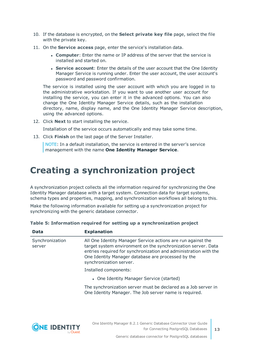- 10. If the database is encrypted, on the **Select private key file** page, select the file with the private key.
- 11. On the **Service access** page, enter the service's installation data.
	- **Computer:** Enter the name or IP address of the server that the service is installed and started on.
	- <sup>l</sup> **Service account**: Enter the details of the user account that the One Identity Manager Service is running under. Enter the user account, the user account's password and password confirmation.

The service is installed using the user account with which you are logged in to the administrative workstation. If you want to use another user account for installing the service, you can enter it in the advanced options. You can also change the One Identity Manager Service details, such as the installation directory, name, display name, and the One Identity Manager Service description, using the advanced options.

12. Click **Next** to start installing the service.

Installation of the service occurs automatically and may take some time.

13. Click **Finish** on the last page of the Server Installer.

NOTE: In a default installation, the service is entered in the server's service management with the name **One Identity Manager Service**.

## <span id="page-12-0"></span>**Creating a synchronization project**

A synchronization project collects all the information required for synchronizing the One Identity Manager database with a target system. Connection data for target systems, schema types and properties, mapping, and synchronization workflows all belong to this.

Make the following information available for setting up a synchronization project for synchronizing with the generic database connector.

| <b>Data</b>               | <b>Explanation</b>                                                                                                                                                                                                                                                                 |  |  |
|---------------------------|------------------------------------------------------------------------------------------------------------------------------------------------------------------------------------------------------------------------------------------------------------------------------------|--|--|
| Synchronization<br>server | All One Identity Manager Service actions are run against the<br>target system environment on the synchronization server. Data<br>entries required for synchronization and administration with the<br>One Identity Manager database are processed by the<br>synchronization server. |  |  |
|                           | Installed components:                                                                                                                                                                                                                                                              |  |  |
|                           | • One Identity Manager Service (started)                                                                                                                                                                                                                                           |  |  |
|                           | The synchronization server must be declared as a Job server in<br>One Identity Manager. The Job server name is required.                                                                                                                                                           |  |  |

### **Table 5: Information required for setting up a synchronization project**

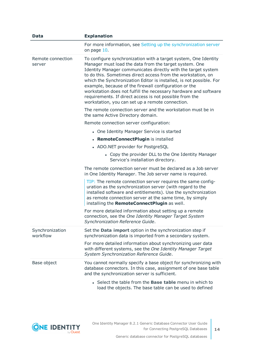| Data                        | <b>Explanation</b>                                                                                                                                                                                                                                                                                                                                                                                                                                                                                                                                                            |
|-----------------------------|-------------------------------------------------------------------------------------------------------------------------------------------------------------------------------------------------------------------------------------------------------------------------------------------------------------------------------------------------------------------------------------------------------------------------------------------------------------------------------------------------------------------------------------------------------------------------------|
|                             | For more information, see Setting up the synchronization server<br>on page 10.                                                                                                                                                                                                                                                                                                                                                                                                                                                                                                |
| Remote connection<br>server | To configure synchronization with a target system, One Identity<br>Manager must load the data from the target system. One<br>Identity Manager communicates directly with the target system<br>to do this. Sometimes direct access from the workstation, on<br>which the Synchronization Editor is installed, is not possible. For<br>example, because of the firewall configuration or the<br>workstation does not fulfill the necessary hardware and software<br>requirements. If direct access is not possible from the<br>workstation, you can set up a remote connection. |
|                             | The remote connection server and the workstation must be in<br>the same Active Directory domain.                                                                                                                                                                                                                                                                                                                                                                                                                                                                              |
|                             | Remote connection server configuration:                                                                                                                                                                                                                                                                                                                                                                                                                                                                                                                                       |
|                             | • One Identity Manager Service is started                                                                                                                                                                                                                                                                                                                                                                                                                                                                                                                                     |
|                             | • RemoteConnectPlugin is installed                                                                                                                                                                                                                                                                                                                                                                                                                                                                                                                                            |
|                             | • ADO.NET provider for PostgreSQL                                                                                                                                                                                                                                                                                                                                                                                                                                                                                                                                             |
|                             | • Copy the provider DLL to the One Identity Manager<br>Service's installation directory.                                                                                                                                                                                                                                                                                                                                                                                                                                                                                      |
|                             | The remote connection server must be declared as a Job server<br>in One Identity Manager. The Job server name is required.                                                                                                                                                                                                                                                                                                                                                                                                                                                    |
|                             | TIP: The remote connection server requires the same config-<br>uration as the synchronization server (with regard to the<br>installed software and entitlements). Use the synchronization<br>as remote connection server at the same time, by simply<br>installing the RemoteConnectPlugin as well.                                                                                                                                                                                                                                                                           |
|                             | For more detailed information about setting up a remote<br>connection, see the One Identity Manager Target System<br>Synchronization Reference Guide.                                                                                                                                                                                                                                                                                                                                                                                                                         |
| Synchronization<br>workflow | Set the <b>Data import</b> option in the synchronization step if<br>synchronization data is imported from a secondary system.                                                                                                                                                                                                                                                                                                                                                                                                                                                 |
|                             | For more detailed information about synchronizing user data<br>with different systems, see the One Identity Manager Target<br>System Synchronization Reference Guide.                                                                                                                                                                                                                                                                                                                                                                                                         |
| Base object                 | You cannot normally specify a base object for synchronizing with<br>database connectors. In this case, assignment of one base table<br>and the synchronization server is sufficient.                                                                                                                                                                                                                                                                                                                                                                                          |
|                             | • Select the table from the <b>Base table</b> menu in which to<br>load the objects. The base table can be used to defined                                                                                                                                                                                                                                                                                                                                                                                                                                                     |

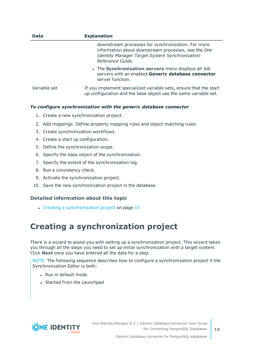| <b>Data</b>  | <b>Explanation</b>                                                                                                                                                                     |  |  |  |
|--------------|----------------------------------------------------------------------------------------------------------------------------------------------------------------------------------------|--|--|--|
|              | downstream processes for synchronization. For more<br>information about downstream processes, see the One<br><b>Identity Manager Target System Synchronization</b><br>Reference Guide. |  |  |  |
|              | • The Synchronization servers menu displays all Job<br>servers with an enabled Generic database connector<br>server function.                                                          |  |  |  |
| Variable set | If you implement specialized variable sets, ensure that the start<br>up configuration and the base object use the same variable set.                                                   |  |  |  |

### *To configure synchronization with the generic database connector*

- 1. Create a new synchronization project.
- 2. Add mappings. Define property mapping rules and object matching rules.
- 3. Create synchronization workflows.
- 4. Create a start up configuration.
- 5. Define the synchronization scope.
- 6. Specify the base object of the synchronization.
- 7. Specify the extent of the synchronization log.
- 8. Run a consistency check.
- 9. Activate the synchronization project.
- 10. Save the new synchronization project in the database.

### **Detailed information about this topic**

• Creating a [synchronization](#page-14-0) project on page 15

### <span id="page-14-0"></span>**Creating a synchronization project**

There is a wizard to assist you with setting up a synchronization project. This wizard takes you through all the steps you need to set up initial synchronization with a target system. Click **Next** once you have entered all the data for a step.

NOTE: The following sequence describes how to configure a synchronization project if the Synchronization Editor is both:

- Run in default mode
- Started from the Launchpad

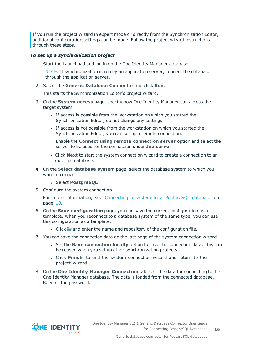If you run the project wizard in expert mode or directly from the Synchronization Editor, additional configuration settings can be made. Follow the project wizard instructions through these steps.

### *To set up a synchronization project*

1. Start the Launchpad and log in on the One Identity Manager database.

NOTE: If synchronization is run by an application server, connect the database through the application server.

2. Select the **Generic Database Connector** and click **Run**.

This starts the Synchronization Editor's project wizard.

- 3. On the **System access** page, specify how One Identity Manager can access the target system.
	- If access is possible from the workstation on which you started the Synchronization Editor, do not change any settings.
	- If access is not possible from the workstation on which you started the Synchronization Editor, you can set up a remote connection.

Enable the **Connect using remote connection server** option and select the server to be used for the connection under **Job server**.

- <sup>l</sup> Click **Next** to start the system connection wizard to create a connection to an external database.
- 4. On the **Select database system** page, select the database system to which you want to connect.
	- <sup>l</sup> Select **PostgreSQL**.
- 5. Configure the system connection.

For more [information,](#page-17-0) see Connecting a system to a PostgreSQL database on [page](#page-17-0) 18.

- 6. On the **Save configuration** page, you can save the current configuration as a template. When you reconnect to a database system of the same type, you can use this configuration as a template.
	- I Click **a** and enter the name and repository of the configuration file.
- 7. You can save the connection data on the last page of the system connection wizard.
	- <sup>l</sup> Set the **Save connection locally** option to save the connection data. This can be reused when you set up other synchronization projects.
	- <sup>l</sup> Click **Finish**, to end the system connection wizard and return to the project wizard.
- 8. On the **One Identity Manager Connection** tab, test the data for connecting to the One Identity Manager database. The data is loaded from the connected database. Reenter the password.

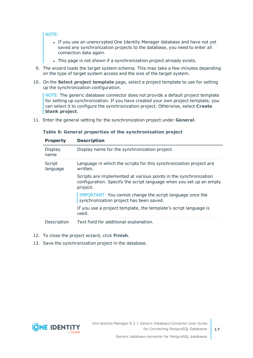### NOTE:

- If you use an unencrypted One Identity Manager database and have not yet saved any synchronization projects to the database, you need to enter all connection data again.
- . This page is not shown if a synchronization project already exists.
- 9. The wizard loads the target system schema. This may take a few minutes depending on the type of target system access and the size of the target system.
- 10. On the **Select project template** page, select a project template to use for setting up the synchronization configuration.

NOTE: The generic database connector does not provide a default project template for setting up synchronization. If you have created your own project template, you can select it to configure the synchronization project. Otherwise, select **Create blank project**.

11. Enter the general setting for the synchronization project under **General**.

|  |  |  | Table 6: General properties of the synchronization project |  |
|--|--|--|------------------------------------------------------------|--|
|  |  |  |                                                            |  |

| <b>Property</b>    | <b>Description</b>                                                                                                                                  |
|--------------------|-----------------------------------------------------------------------------------------------------------------------------------------------------|
| Display<br>name    | Display name for the synchronization project.                                                                                                       |
| Script<br>language | Language in which the scripts for this synchronization project are<br>written.                                                                      |
|                    | Scripts are implemented at various points in the synchronization<br>configuration. Specify the script language when you set up an empty<br>project. |
|                    | IMPORTANT: You cannot change the script language once the<br>synchronization project has been saved.                                                |
|                    | If you use a project template, the template's script language is<br>used.                                                                           |
| Description        | Text field for additional explanation.                                                                                                              |

- 12. To close the project wizard, click **Finish**.
- 13. Save the synchronization project in the database.

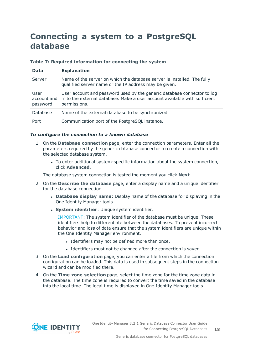### <span id="page-17-0"></span>**Connecting a system to a PostgreSQL database**

### **Table 7: Required information for connecting the system**

| <b>Data</b>                     | <b>Explanation</b>                                                                                                                                                    |
|---------------------------------|-----------------------------------------------------------------------------------------------------------------------------------------------------------------------|
| Server                          | Name of the server on which the database server is installed. The fully<br>qualified server name or the IP address may be given.                                      |
| User<br>account and<br>password | User account and password used by the generic database connector to log<br>in to the external database. Make a user account available with sufficient<br>permissions. |
| Database                        | Name of the external database to be synchronized.                                                                                                                     |
| Port                            | Communication port of the PostgreSQL instance.                                                                                                                        |

### *To configure the connection to a known database*

- 1. On the **Database connection** page, enter the connection parameters. Enter all the parameters required by the generic database connector to create a connection with the selected database system.
	- To enter additional system-specific information about the system connection, click **Advanced**.

The database system connection is tested the moment you click **Next**.

- 2. On the **Describe the database** page, enter a display name and a unique identifier for the database connection.
	- <sup>l</sup> **Database display name**: Display name of the database for displaying in the One Identity Manager tools.
	- **.** System *identifier*: Unique system identifier.

IMPORTANT: The system identifier of the database must be unique. These identifiers help to differentiate between the databases. To prevent incorrect behavior and loss of data ensure that the system identifiers are unique within the One Identity Manager environment.

- Identifiers may not be defined more than once.
- Identifiers must not be changed after the connection is saved.
- 3. On the **Load configuration** page, you can enter a file from which the connection configuration can be loaded. This data is used in subsequent steps in the connection wizard and can be modified there.
- 4. On the **Time zone selection** page, select the time zone for the time zone data in the database. The time zone is required to convert the time saved in the database into the local time. The local time is displayed in One Identity Manager tools.

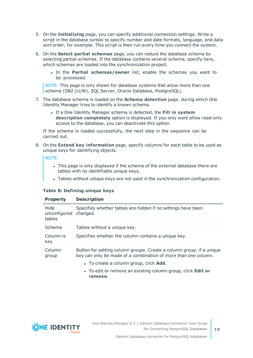- 5. On the **Initializing** page, you can specify additional connection settings. Write a script in the database syntax to specify number and date formats, language, and data sort order, for example. This script is then run every time you connect the system.
- 6. On the **Select partial schemas** page, you can reduce the database schema by selecting partial schemas. If the database contains several schema, specify here, which schemas are loaded into the synchronization project.
	- <sup>l</sup> In the **Partial schemas/owner** list, enable the schemas you want to be processed.

NOTE: This page is only shown for database systems that allow more than one schema (DB2 (LUW), SQL Server, Oracle Database, PostgreSQL).

- 7. The database schema is loaded on the **Schema detection** page. during which One Identity Manager tries to identify a known schema.
	- <sup>l</sup> If a One Identity Manager schema is detected, the **Fill in system description completely** option is displayed. If you only want allow read-only access to the database, you can deactivate this option.

If the schema is loaded successfully, the next step in the sequence can be carried out.

8. On the **Extend key information** page, specify columns for each table to be used as unique keys for identifying objects.

NOTE:

- This page is only displayed if the schema of the external database there are tables with no identifiable unique keys.
- Tables without unique keys are not used in the synchronization configuration.

### **Table 8: Defining unique keys**

| Hide<br>unconfigured changed.<br>tables | Specifies whether tables are hidden if no settings have been                                                                           |
|-----------------------------------------|----------------------------------------------------------------------------------------------------------------------------------------|
| Schema                                  | Tables without a unique key.                                                                                                           |
| Column is<br>key                        | Specifies whether the column contains a unique key.                                                                                    |
| Column<br>group                         | Button for editing column groups. Create a column group, if a unique<br>key can only be made of a combination of more than one column. |
|                                         | • To create a column group, click <b>Add.</b>                                                                                          |
|                                         | • To edit or remove an existing column group, click <b>Edit or</b>                                                                     |

**remove**.

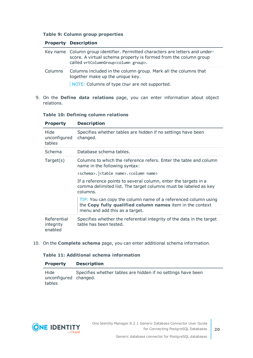### **Table 9: Column group properties**

### **Property Description**

|         | Key name Column group identifier. Permitted characters are letters and under-<br>score. A virtual schema property is formed from the column group<br>called vrtColumnGroup <column group="">.</column> |
|---------|--------------------------------------------------------------------------------------------------------------------------------------------------------------------------------------------------------|
| Columns | Columns included in the column group. Mark all the columns that<br>together make up the unique key.                                                                                                    |
|         | NOTE: Columns of type Char are not supported.                                                                                                                                                          |

9. On the **Define data relations** page, you can enter information about object relations.

### **Table 10: Defining column relations**

| <b>Property</b>                     | <b>Description</b>                                                                                                                                            |
|-------------------------------------|---------------------------------------------------------------------------------------------------------------------------------------------------------------|
| Hide<br>unconfigured<br>tables      | Specifies whether tables are hidden if no settings have been<br>changed.                                                                                      |
| <b>Schema</b>                       | Database schema tables.                                                                                                                                       |
| Target(s)                           | Columns to which the reference refers. Enter the table and column<br>name in the following syntax:                                                            |
|                                     | <schema>.]<table name="">.<column name=""></column></table></schema>                                                                                          |
|                                     | If a reference points to several column, enter the targets in a<br>comma delimited list. The target columns must be labeled as key<br>columns.                |
|                                     | TIP: You can copy the column name of a referenced column using<br>the Copy fully qualified column names item in the context<br>menu and add this as a target. |
| Referential<br>integrity<br>enabled | Specifies whether the referential integrity of the data in the target<br>table has been tested.                                                               |

10. On the **Complete schema** page, you can enter additional schema information.

### **Table 11: Additional schema information**

| <b>Property</b>                         | <b>Description</b>                                           |
|-----------------------------------------|--------------------------------------------------------------|
| Hide<br>unconfigured changed.<br>tables | Specifies whether tables are hidden if no settings have been |

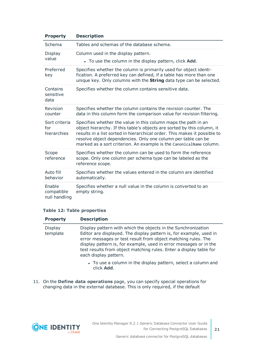| <b>Property</b>                       | <b>Description</b>                                                                                                                                                                                                                                                                                                                                             |
|---------------------------------------|----------------------------------------------------------------------------------------------------------------------------------------------------------------------------------------------------------------------------------------------------------------------------------------------------------------------------------------------------------------|
| Schema                                | Tables and schemas of the database schema.                                                                                                                                                                                                                                                                                                                     |
| Display<br>value                      | Column used in the display pattern.<br>• To use the column in the display pattern, click <b>Add</b> .                                                                                                                                                                                                                                                          |
|                                       |                                                                                                                                                                                                                                                                                                                                                                |
| Preferred<br>key                      | Specifies whether the column is primarily used for object identi-<br>fication. A preferred key can defined, if a table has more than one<br>unique key. Only columns with the <b>String</b> data type can be selected.                                                                                                                                         |
| Contains<br>sensitive<br>data         | Specifies whether the column contains sensitive data.                                                                                                                                                                                                                                                                                                          |
| Revision<br>counter                   | Specifies whether the column contains the revision counter. The<br>data in this column form the comparison value for revision filtering.                                                                                                                                                                                                                       |
| Sort criteria<br>for<br>hierarchies   | Specifies whether the value in this column maps the path in an<br>object hierarchy. If this table's objects are sorted by this column, it<br>results in a list sorted in hierarchical order. This makes it possible to<br>resolve object dependencies. Only one column per table can be<br>marked as a sort criterion. An example is the CanonicalName column. |
| Scope<br>reference                    | Specifies whether the column can be used to form the reference<br>scope. Only one column per schema type can be labeled as the<br>reference scope.                                                                                                                                                                                                             |
| Auto fill<br>behavior                 | Specifies whether the values entered in the column are identified<br>automatically.                                                                                                                                                                                                                                                                            |
| Enable<br>compatible<br>null handling | Specifies whether a null value in the column is converted to an<br>empty string.                                                                                                                                                                                                                                                                               |

### **Table 12: Table properties**

| <b>Property</b>            | <b>Description</b>                                                                                                                                                                                                                                                                                                                                                       |
|----------------------------|--------------------------------------------------------------------------------------------------------------------------------------------------------------------------------------------------------------------------------------------------------------------------------------------------------------------------------------------------------------------------|
| <b>Display</b><br>template | Display pattern with which the objects in the Synchronization<br>Editor are displayed. The display pattern is, for example, used in<br>error messages or test result from object matching rules. The<br>display pattern is, for example, used in error messages or in the<br>test results from object matching rules. Enter a display table for<br>each display pattern. |
|                            |                                                                                                                                                                                                                                                                                                                                                                          |

- To use a column in the display pattern, select a column and click **Add**.
- 11. On the **Define data operations** page, you can specify special operations for changing data in the external database. This is only required, if the default

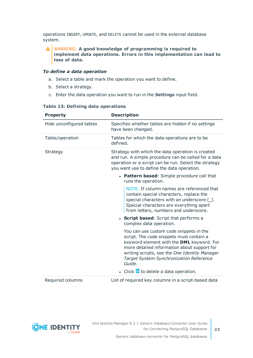operations INSERT, UPDATE, and DELETE cannot be used in the external database system.

### WARNING: **A good knowledge of programming is required to implement data operations. Errors in this implementation can lead to loss of data.**

### *To define a data operation*

- a. Select a table and mark the operation you want to define.
- b. Select a strategy.
- c. Enter the data operation you want to run in the **Settings** input field.

| <b>Property</b>          | <b>Description</b>                                                                                                                                                                                                                                                                    |
|--------------------------|---------------------------------------------------------------------------------------------------------------------------------------------------------------------------------------------------------------------------------------------------------------------------------------|
| Hide unconfigured tables | Specifies whether tables are hidden if no settings<br>have been changed.                                                                                                                                                                                                              |
| Table/operation          | Tables for which the data operations are to be<br>defined.                                                                                                                                                                                                                            |
| Strategy                 | Strategy with which the data operation is created<br>and run. A simple procedure can be called for a data<br>operation or a script can be run. Select the strategy<br>you want use to define the data operation.                                                                      |
|                          | • Pattern based: Simple procedure call that<br>runs the operation.                                                                                                                                                                                                                    |
|                          | NOTE: If column names are referenced that<br>contain special characters, replace the<br>special characters with an underscore ().<br>Special characters are everything apart<br>from letters, numbers and underscore.                                                                 |
|                          | • Script based: Script that performs a<br>complex data operation.                                                                                                                                                                                                                     |
|                          | You can use custom code snippets in the<br>script. The code snippets must contain a<br>keyword element with the DML keyword. For<br>more detailed information about support for<br>writing scripts, see the One Identity Manager<br>Target System Synchronization Reference<br>Guide. |
|                          | $\bullet$ Click $\overline{\mathbb{I}\mathbb{I}}$ to delete a data operation.                                                                                                                                                                                                         |
| Required columns         | List of required key columns in a script-based data                                                                                                                                                                                                                                   |

### **Table 13: Defining data operations**

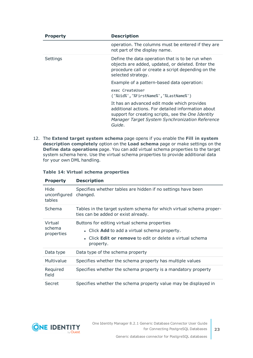| <b>Property</b> | <b>Description</b>                                                                                                                                                                                                   |
|-----------------|----------------------------------------------------------------------------------------------------------------------------------------------------------------------------------------------------------------------|
|                 | operation. The columns must be entered if they are<br>not part of the display name.                                                                                                                                  |
| Settings        | Define the data operation that is to be run when<br>objects are added, updated, or deleted. Enter the<br>procedure call or create a script depending on the<br>selected strategy.                                    |
|                 | Example of a pattern-based data operation:                                                                                                                                                                           |
|                 | exec CreateUser<br>('%Uid%','%FirstName%','%LastName%')                                                                                                                                                              |
|                 | It has an advanced edit mode which provides<br>additional actions. For detailed information about<br>support for creating scripts, see the One Identity<br>Manager Target System Synchronization Reference<br>Guide. |

12. The **Extend target system schema** page opens if you enable the **Fill in system description completely** option on the **Load schema** page or make settings on the **Define data operations** page. You can add virtual schema properties to the target system schema here. Use the virtual schema properties to provide additional data for your own DML handling.

| <b>Property</b>                 | <b>Description</b>                                                                                                                                                       |
|---------------------------------|--------------------------------------------------------------------------------------------------------------------------------------------------------------------------|
| Hide<br>unconfigured<br>tables  | Specifies whether tables are hidden if no settings have been<br>changed.                                                                                                 |
| Schema                          | Tables in the target system schema for which virtual schema proper-<br>ties can be added or exist already.                                                               |
| Virtual<br>schema<br>properties | Buttons for editing virtual schema properties<br>• Click Add to add a virtual schema property.<br>• Click Edit or remove to edit or delete a virtual schema<br>property. |
| Data type                       | Data type of the schema property                                                                                                                                         |
| Multivalue                      | Specifies whether the schema property has multiple values                                                                                                                |
| Required<br>field               | Specifies whether the schema property is a mandatory property                                                                                                            |
| Secret                          | Specifies whether the schema property value may be displayed in                                                                                                          |

### **Table 14: Virtual schema properties**

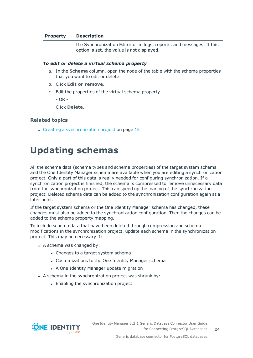### **Property Description**

the Synchronization Editor or in logs, reports, and messages. If this option is set, the value is not displayed.

#### *To edit or delete a virtual schema property*

- a. In the **Schema** column, open the node of the table with the schema properties that you want to edit or delete.
- b. Click **Edit or remove**.
- c. Edit the properties of the virtual schema property.

 $-$  OR  $-$ 

Click **Delete**.

### **Related topics**

<span id="page-23-0"></span>• Creating a [synchronization](#page-14-0) project on page 15

### **Updating schemas**

All the schema data (schema types and schema properties) of the target system schema and the One Identity Manager schema are available when you are editing a synchronization project. Only a part of this data is really needed for configuring synchronization. If a synchronization project is finished, the schema is compressed to remove unnecessary data from the synchronization project. This can speed up the loading of the synchronization project. Deleted schema data can be added to the synchronization configuration again at a later point.

If the target system schema or the One Identity Manager schema has changed, these changes must also be added to the synchronization configuration. Then the changes can be added to the schema property mapping.

To include schema data that have been deleted through compression and schema modifications in the synchronization project, update each schema in the synchronization project. This may be necessary if:

- $\bullet$  A schema was changed by:
	- Changes to a target system schema
	- Customizations to the One Identity Manager schema
	- A One Identity Manager update migration
- A schema in the synchronization project was shrunk by:
	- Enabling the synchronization project

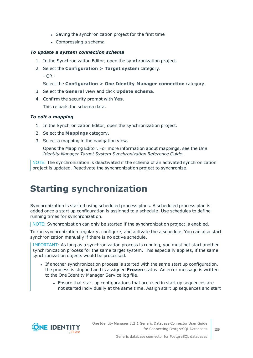- Saving the synchronization project for the first time
- $\bullet$  Compressing a schema

### *To update a system connection schema*

- 1. In the Synchronization Editor, open the synchronization project.
- 2. Select the **Configuration > Target system** category.
	- OR -

Select the **Configuration > One Identity Manager connection** category.

- 3. Select the **General** view and click **Update schema**.
- 4. Confirm the security prompt with **Yes**. This reloads the schema data.

### *To edit a mapping*

- 1. In the Synchronization Editor, open the synchronization project.
- 2. Select the **Mappings** category.
- 3. Select a mapping in the navigation view.

Opens the Mapping Editor. For more information about mappings, see the *One Identity Manager Target System Synchronization Reference Guide*.

NOTE: The synchronization is deactivated if the schema of an activated synchronization project is updated. Reactivate the synchronization project to synchronize.

## <span id="page-24-0"></span>**Starting synchronization**

Synchronization is started using scheduled process plans. A scheduled process plan is added once a start up configuration is assigned to a schedule. Use schedules to define running times for synchronization.

NOTE: Synchronization can only be started if the synchronization project is enabled.

To run synchronization regularly, configure, and activate the a schedule. You can also start synchronization manually if there is no active schedule.

IMPORTANT: As long as a synchronization process is running, you must not start another synchronization process for the same target system. This especially applies, if the same synchronization objects would be processed.

- If another synchronization process is started with the same start up configuration, the process is stopped and is assigned **Frozen** status. An error message is written to the One Identity Manager Service log file.
	- Ensure that start up configurations that are used in start up sequences are not started individually at the same time. Assign start up sequences and start

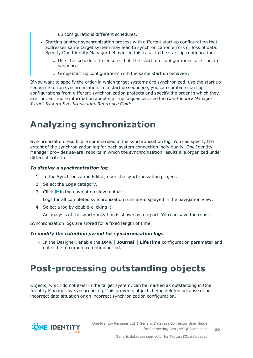up configurations different schedules.

- Starting another synchronization process with different start up configuration that addresses same target system may lead to synchronization errors or loss of data. Specify One Identity Manager behavior in this case, in the start up configuration.
	- Use the schedule to ensure that the start up configurations are run in sequence.
	- Group start up configurations with the same start up behavior.

If you want to specify the order in which target systems are synchronized, use the start up sequence to run synchronization. In a start up sequence, you can combine start up configurations from different synchronization projects and specify the order in which they are run. For more information about start up sequences, see the *One Identity Manager Target System Synchronization Reference Guide*.

## <span id="page-25-0"></span>**Analyzing synchronization**

Synchronization results are summarized in the synchronization log. You can specify the extent of the synchronization log for each system connection individually. One Identity Manager provides several reports in which the synchronization results are organized under different criteria.

### *To display a synchronization log*

- 1. In the Synchronization Editor, open the synchronization project.
- 2. Select the **Logs** category.
- 3. Click in the navigation view toolbar.

Logs for all completed synchronization runs are displayed in the navigation view.

4. Select a log by double-clicking it.

An analysis of the synchronization is shown as a report. You can save the report.

Synchronization logs are stored for a fixed length of time.

### *To modify the retention period for synchronization logs*

<sup>l</sup> In the Designer, enable the **DPR | Journal | LifeTime** configuration parameter and enter the maximum retention period.

## <span id="page-25-1"></span>**Post-processing outstanding objects**

Objects, which do not exist in the target system, can be marked as outstanding in One Identity Manager by synchronizing. This prevents objects being deleted because of an incorrect data situation or an incorrect synchronization configuration.



**26**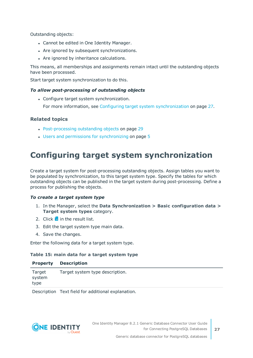Outstanding objects:

- Cannot be edited in One Identity Manager.
- Are ignored by subsequent synchronizations.
- Are ignored by inheritance calculations.

This means, all memberships and assignments remain intact until the outstanding objects have been processed.

Start target system synchronization to do this.

### *To allow post-processing of outstanding objects*

• Configure target system synchronization.

For more information, see Configuring target system [synchronization](#page-26-0) on page 27.

### **Related topics**

- [Post-processing](#page-28-0) outstanding objects on page 29
- Users and permissions for [synchronizing](#page-4-0) on page 5

### <span id="page-26-0"></span>**Configuring target system synchronization**

Create a target system for post-processing outstanding objects. Assign tables you want to be populated by synchronization, to this target system type. Specify the tables for which outstanding objects can be published in the target system during post-processing. Define a process for publishing the objects.

### *To create a target system type*

- 1. In the Manager, select the **Data Synchronization > Basic configuration data > Target system types** category.
- 2. Click  $\mathbf{r}$  in the result list.
- 3. Edit the target system type main data.
- 4. Save the changes.

Enter the following data for a target system type.

### **Table 15: main data for a target system type**

| <b>Property</b>          | <b>Description</b>              |
|--------------------------|---------------------------------|
| Target<br>system<br>type | Target system type description. |
|                          |                                 |

Description Text field for additional explanation.

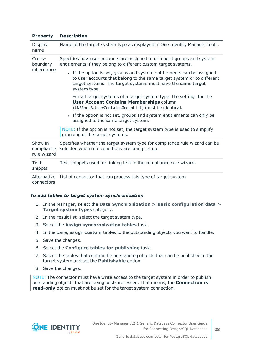### **Property Description**

| Display<br>name                      | Name of the target system type as displayed in One Identity Manager tools.                                                                                                                                                       |  |
|--------------------------------------|----------------------------------------------------------------------------------------------------------------------------------------------------------------------------------------------------------------------------------|--|
| Cross-<br>boundary<br>inheritance    | Specifies how user accounts are assigned to or inherit groups and system<br>entitlements if they belong to different custom target systems.                                                                                      |  |
|                                      | • If the option is set, groups and system entitlements can be assigned<br>to user accounts that belong to the same target system or to different<br>target systems. The target systems must have the same target<br>system type. |  |
|                                      | For all target systems of a target system type, the settings for the<br><b>User Account Contains Memberships column</b><br>(UNSRootB.UserContainsGroupList) must be identical.                                                   |  |
|                                      | • If the option is not set, groups and system entitlements can only be<br>assigned to the same target system.                                                                                                                    |  |
|                                      | NOTE: If the option is not set, the target system type is used to simplify<br>grouping of the target systems.                                                                                                                    |  |
| Show in<br>compliance<br>rule wizard | Specifies whether the target system type for compliance rule wizard can be<br>selected when rule conditions are being set up.                                                                                                    |  |
| Text<br>snippet                      | Text snippets used for linking text in the compliance rule wizard.                                                                                                                                                               |  |
| Alternative<br>connectors            | List of connector that can process this type of target system.                                                                                                                                                                   |  |

### *To add tables to target system synchronization*

- 1. In the Manager, select the **Data Synchronization > Basic configuration data > Target system types** category.
- 2. In the result list, select the target system type.
- 3. Select the **Assign synchronization tables** task.
- 4. In the pane, assign **custom** tables to the outstanding objects you want to handle.
- 5. Save the changes.
- 6. Select the **Configure tables for publishing** task.
- 7. Select the tables that contain the outstanding objects that can be published in the target system and set the **Publishable** option.
- 8. Save the changes.

NOTE: The connector must have write access to the target system in order to publish outstanding objects that are being post-processed. That means, the **Connection is read-only** option must not be set for the target system connection.

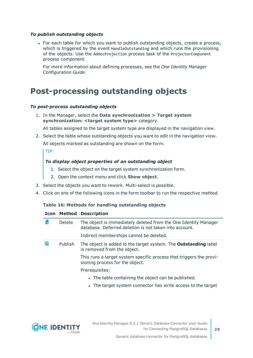### *To publish outstanding objects*

• For each table for which you want to publish outstanding objects, create a process, which is triggered by the event HandleOutstanding and which runs the provisioning of the objects. Use the AdHocProjection process task of the ProjectorComponent process component.

For more information about defining processes, see the *One Identity Manager Configuration Guide*.

### <span id="page-28-0"></span>**Post-processing outstanding objects**

#### *To post-process outstanding objects*

1. In the Manager, select the **Data synchronization > Target system synchronization: <target system type>** category.

All tables assigned to the target system type are displayed in the navigation view.

2. Select the table whose outstanding objects you want to edit in the navigation view. All objects marked as outstanding are shown on the form.

TIP:

### *To display object properties of an outstanding object*

- 1. Select the object on the target system synchronization form.
- 2. Open the context menu and click **Show object**.
- 3. Select the objects you want to rework. Multi-select is possible.
- 4. Click on one of the following icons in the form toolbar to run the respective method.

### **Table 16: Methods for handling outstanding objects**

#### **Icon Method Description**

| ΓxΙ | <b>Delete</b> | The object is immediately deleted from the One Identity Manager<br>database. Deferred deletion is not taken into account.<br>Indirect memberships cannot be deleted. |
|-----|---------------|----------------------------------------------------------------------------------------------------------------------------------------------------------------------|
|     | Publish       | The object is added to the target system. The <b>Outstanding</b> label<br>is removed from the object.                                                                |
|     |               | This runs a target system specific process that triggers the provi-<br>sioning process for the object.                                                               |
|     |               | Prerequisites:                                                                                                                                                       |
|     |               | • The table containing the object can be published.                                                                                                                  |
|     |               | • The target system connector has write access to the target                                                                                                         |

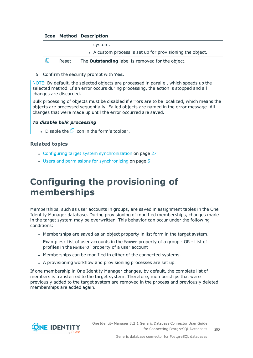### **Icon Method Description**

system.

• A custom process is set up for provisioning the object.



5. Confirm the security prompt with **Yes**.

NOTE: By default, the selected objects are processed in parallel, which speeds up the selected method. If an error occurs during processing, the action is stopped and all changes are discarded.

Bulk processing of objects must be disabled if errors are to be localized, which means the objects are processed sequentially. Failed objects are named in the error message. All changes that were made up until the error occurred are saved.

### *To disable bulk processing*

. Disable the  $\Box$  icon in the form's toolbar.

### **Related topics**

- Configuring target system [synchronization](#page-26-0) on page 27
- <span id="page-29-0"></span>• Users and permissions for [synchronizing](#page-4-0) on page 5

### **Configuring the provisioning of memberships**

Memberships, such as user accounts in groups, are saved in assignment tables in the One Identity Manager database. During provisioning of modified memberships, changes made in the target system may be overwritten. This behavior can occur under the following conditions:

• Memberships are saved as an object property in list form in the target system.

Examples: List of user accounts in the Member property of a group - OR - List of profiles in the MemberOf property of a user account

- Memberships can be modified in either of the connected systems.
- A provisioning workflow and provisioning processes are set up.

If one membership in One Identity Manager changes, by default, the complete list of members is transferred to the target system. Therefore, memberships that were previously added to the target system are removed in the process and previously deleted memberships are added again.



**30**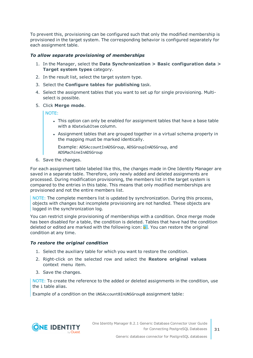To prevent this, provisioning can be configured such that only the modified membership is provisioned in the target system. The corresponding behavior is configured separately for each assignment table.

### *To allow separate provisioning of memberships*

- 1. In the Manager, select the **Data Synchronization > Basic configuration data > Target system types** category.
- 2. In the result list, select the target system type.
- 3. Select the **Configure tables for publishing** task.
- 4. Select the assignment tables that you want to set up for single provisioning. Multiselect is possible.
- 5. Click **Merge mode**.

NOTE:

- This option can only be enabled for assignment tables that have a base table with a XDateSubItem column.
- Assignment tables that are grouped together in a virtual schema property in the mapping must be marked identically.

Example: ADSAccountInADSGroup, ADSGroupInADSGroup, and ADSMachineInADSGroup

6. Save the changes.

For each assignment table labeled like this, the changes made in One Identity Manager are saved in a separate table. Therefore, only newly added and deleted assignments are processed. During modification provisioning, the members list in the target system is compared to the entries in this table. This means that only modified memberships are provisioned and not the entire members list.

NOTE: The complete members list is updated by synchronization. During this process, objects with changes but incomplete provisioning are not handled. These objects are logged in the synchronization log.

You can restrict single provisioning of memberships with a condition. Once merge mode has been disabled for a table, the condition is deleted. Tables that have had the condition deleted or edited are marked with the following icon:  $\mathbb{E}$ . You can restore the original condition at any time.

### *To restore the original condition*

- 1. Select the auxiliary table for which you want to restore the condition.
- 2. Right-click on the selected row and select the **Restore original values** context menu item.
- 3. Save the changes.

NOTE: To create the reference to the added or deleted assignments in the condition, use the i table alias.

Example of a condition on the UNSAccountBInUNSGroupB assignment table:

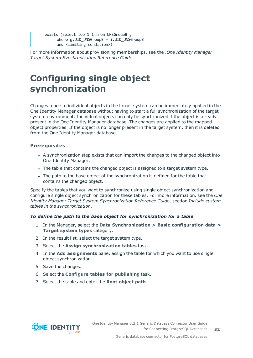exists (select top 1 1 from UNSGroupB g where  $g.UID$  UNSGroupB =  $i.UID$  UNSGroupB and <limiting condition>)

For more information about provisioning memberships, see the .*One Identity Manager Target System Synchronization Reference Guide*

## <span id="page-31-0"></span>**Configuring single object synchronization**

Changes made to individual objects in the target system can be immediately applied in the One Identity Manager database without having to start a full synchronization of the target system environment. Individual objects can only be synchronized if the object is already present in the One Identity Manager database. The changes are applied to the mapped object properties. If the object is no longer present in the target system, then it is deleted from the One Identity Manager database.

### **Prerequisites**

- A synchronization step exists that can import the changes to the changed object into One Identity Manager.
- The table that contains the changed object is assigned to a target system type.
- The path to the base object of the synchronization is defined for the table that contains the changed object.

Specify the tables that you want to synchronize using single object synchronization and configure single object synchronization for these tables. For more information, see the *One Identity Manager Target System Synchronization Reference Guide*, section *Include custom tables in the synchronization*.

### *To define the path to the base object for synchronization for a table*

- 1. In the Manager, select the **Data Synchronization > Basic configuration data > Target system types** category.
- 2. In the result list, select the target system type.
- 3. Select the **Assign synchronization tables** task.
- 4. In the **Add assignments** pane, assign the table for which you want to use single object synchronization.
- 5. Save the changes.
- 6. Select the **Configure tables for publishing** task.
- 7. Select the table and enter the **Root object path**.

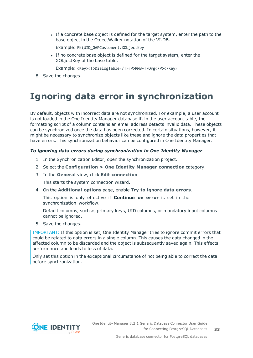If a concrete base object is defined for the target system, enter the path to the base object in the ObjectWalker notation of the VI.DB.

Example: FK(UID\_GAPCustomer).XObjectKey

If no concrete base object is defined for the target system, enter the XObjectKey of the base table.

Example: <Key><T>DialogTable</T><P>RMB-T-Org</P></Key>

<span id="page-32-0"></span>8. Save the changes.

### **Ignoring data error in synchronization**

By default, objects with incorrect data are not synchronized. For example, a user account is not loaded in the One Identity Manager database if, in the user account table, the formatting script of a column contains an email address detects invalid data. These objects can be synchronized once the data has been corrected. In certain situations, however, it might be necessary to synchronize objects like these and ignore the data properties that have errors. This synchronization behavior can be configured in One Identity Manager.

### *To ignoring data errors during synchronization in One Identity Manager*

- 1. In the Synchronization Editor, open the synchronization project.
- 2. Select the **Configuration > One Identity Manager connection** category.
- 3. In the **General** view, click **Edit connection**.

This starts the system connection wizard.

4. On the **Additional options** page, enable **Try to ignore data errors**.

This option is only effective if **Continue on error** is set in the synchronization workflow.

Default columns, such as primary keys, UID columns, or mandatory input columns cannot be ignored.

5. Save the changes.

IMPORTANT: If this option is set, One Identity Manager tries to ignore commit errors that could be related to data errors in a single column. This causes the data changed in the affected column to be discarded and the object is subsequently saved again. This effects performance and leads to loss of data.

Only set this option in the exceptional circumstance of not being able to correct the data before synchronization.

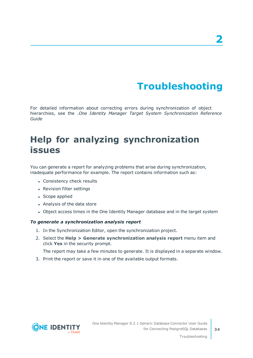# **Troubleshooting**

<span id="page-33-0"></span>For detailed information about correcting errors during synchronization of object hierarchies, see the .*One Identity Manager Target System Synchronization Reference Guide*

## <span id="page-33-1"></span>**Help for analyzing synchronization issues**

You can generate a report for analyzing problems that arise during synchronization, inadequate performance for example. The report contains information such as:

- Consistency check results
- Revision filter settings
- Scope applied
- Analysis of the data store
- Object access times in the One Identity Manager database and in the target system

### *To generate a synchronization analysis report*

- 1. In the Synchronization Editor, open the synchronization project.
- 2. Select the **Help > Generate synchronization analysis report** menu item and click **Yes** in the security prompt.

The report may take a few minutes to generate. It is displayed in a separate window.

3. Print the report or save it in one of the available output formats.

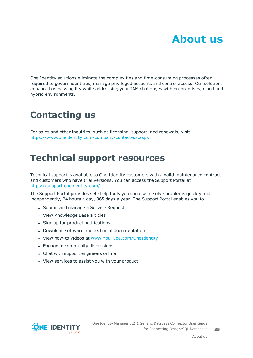<span id="page-34-0"></span>One Identity solutions eliminate the complexities and time-consuming processes often required to govern identities, manage privileged accounts and control access. Our solutions enhance business agility while addressing your IAM challenges with on-premises, cloud and hybrid environments.

## <span id="page-34-1"></span>**Contacting us**

For sales and other inquiries, such as licensing, support, and renewals, visit <https://www.oneidentity.com/company/contact-us.aspx>.

## <span id="page-34-2"></span>**Technical support resources**

Technical support is available to One Identity customers with a valid maintenance contract and customers who have trial versions. You can access the Support Portal at [https://support.oneidentity.com/.](https://support.oneidentity.com/)

The Support Portal provides self-help tools you can use to solve problems quickly and independently, 24 hours a day, 365 days a year. The Support Portal enables you to:

- Submit and manage a Service Request
- View Knowledge Base articles
- Sign up for product notifications
- Download software and technical documentation
- View how-to videos at [www.YouTube.com/OneIdentity](http://www.youtube.com/OneIdentity)
- Engage in community discussions
- Chat with support engineers online
- View services to assist you with your product



About us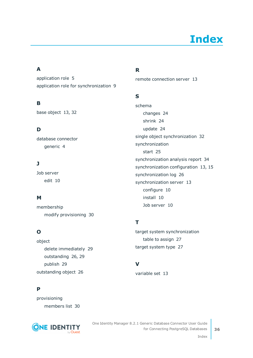# **Index**

### <span id="page-35-0"></span>**A**

application role [5](#page-4-0) application role for synchronization [9](#page-8-0)

### **B**

base object [13](#page-12-0), [32](#page-31-0)

### **D**

database connector generic [4](#page-3-0)

### **J**

Job server edit [10](#page-9-0)

### **M**

membership modify provisioning [30](#page-29-0)

### **O**

object delete immediately [29](#page-28-0) outstanding [26](#page-25-1), [29](#page-28-0) publish [29](#page-28-0) outstanding object [26](#page-25-1)

### **P**

provisioning members list [30](#page-29-0)



### **R**

remote connection server [13](#page-12-0)

### **S**

schema changes [24](#page-23-0) shrink [24](#page-23-0) update [24](#page-23-0) single object synchronization [32](#page-31-0) synchronization start [25](#page-24-0) synchronization analysis report [34](#page-33-1) synchronization configuration [13](#page-12-0), [15](#page-14-0) synchronization log [26](#page-25-0) synchronization server [13](#page-12-0) configure [10](#page-9-0) install [10](#page-9-0) Job server [10](#page-9-0)

### **T**

target system synchronization table to assign [27](#page-26-0) target system type [27](#page-26-0)

### **V**

variable set [13](#page-12-0)

Index